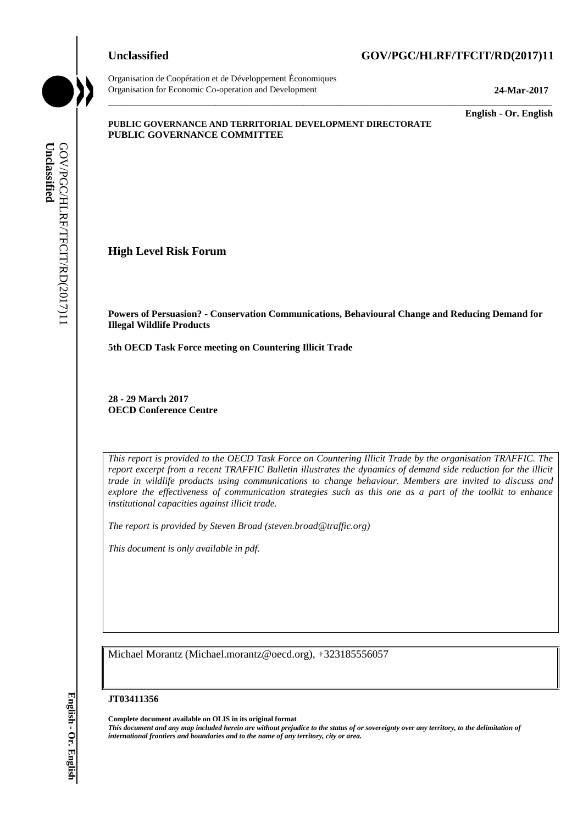

Organisation de Coopération et de Développement Économiques Organisation for Economic Co-operation and Development **24-Mar-2017**

\_\_\_\_\_\_\_\_\_\_\_\_\_ **English - Or. English**

#### **PUBLIC GOVERNANCE AND TERRITORIAL DEVELOPMENT DIRECTORATE PUBLIC GOVERNANCE COMMITTEE**

**High Level Risk Forum**

**Powers of Persuasion? - Conservation Communications, Behavioural Change and Reducing Demand for Illegal Wildlife Products**

\_\_\_\_\_\_\_\_\_\_\_\_\_\_\_\_\_\_\_\_\_\_\_\_\_\_\_\_\_\_\_\_\_\_\_\_\_\_\_\_\_\_\_\_\_\_\_\_\_\_\_\_\_\_\_\_\_\_\_\_\_\_\_\_\_\_\_\_\_\_\_\_\_\_\_\_\_\_\_\_\_\_\_\_\_\_\_\_\_\_\_

**5th OECD Task Force meeting on Countering Illicit Trade**

**28 - 29 March 2017 OECD Conference Centre**

*This report is provided to the OECD Task Force on Countering Illicit Trade by the organisation TRAFFIC. The report excerpt from a recent TRAFFIC Bulletin illustrates the dynamics of demand side reduction for the illicit trade in wildlife products using communications to change behaviour. Members are invited to discuss and explore the effectiveness of communication strategies such as this one as a part of the toolkit to enhance institutional capacities against illicit trade.* **iii** international frontiers and boundaries and or area.<br> **iii** international frontiers and boundaries and to the name of any territory of any territory of any territory of GOV/PGC/HLRF (Fig. 23 - 29 March 2017)<br> **OECD C** 

*The report is provided by Steven Broad (steven.broad@traffic.org)* 

*This document is only available in pdf.*

Michael Morantz (Michael.morantz@oecd.org), +323185556057

**JT03411356**

**Complete document available on OLIS in its original format** *This document and any map included herein are without prejudice to the status of or sovereignty over any territory, to the delimitation of*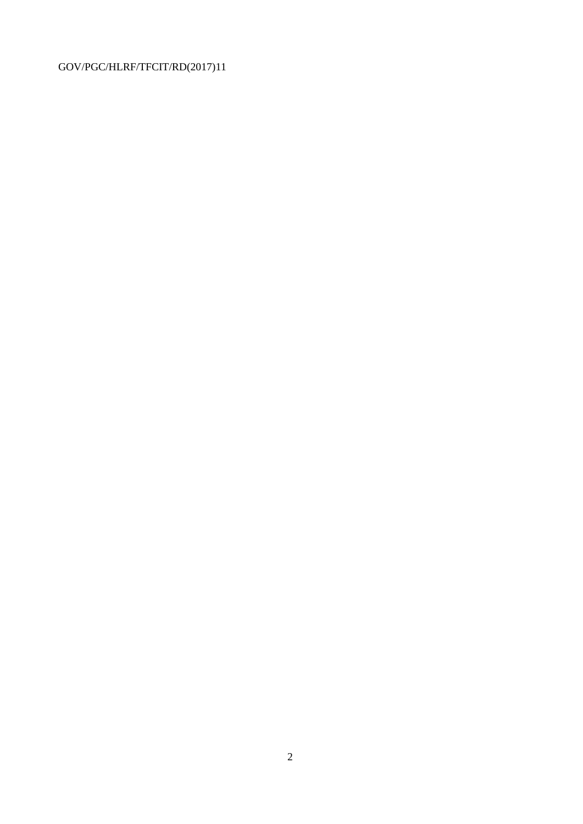## GOV/PGC/HLRF/TFCIT/RD(2017)11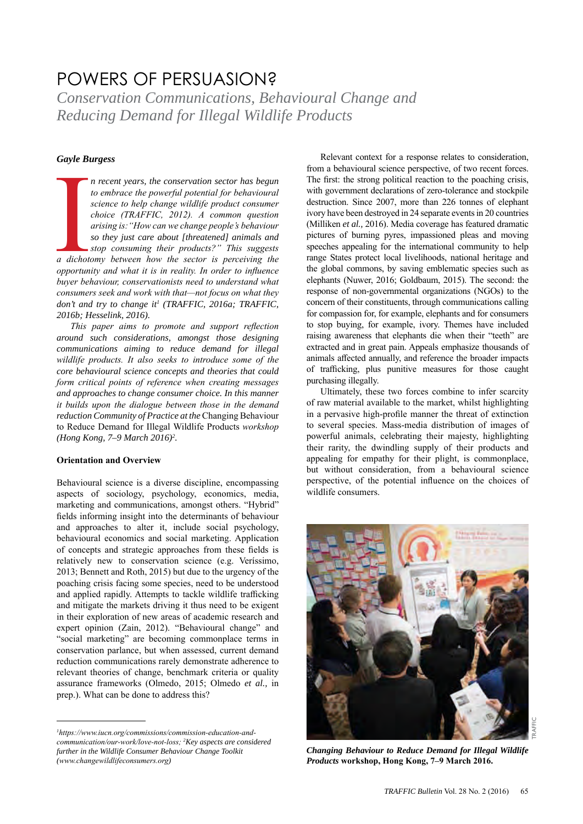# POWERS OF PERSUASION?

*Conservation Communications, Behavioural Change and Reducing Demand for Illegal Wildlife Products*

#### *Gayle Burgess*

a<br>a dichot *n recent years, the conservation sector has begun*  to embrace the powerful potential for behavioural *science to help change wildlife product consumer choice (TRAFFIC, 2012). A common question arising is:* "How can we change people's behaviour *so they just care about [threatened] animals and stop consuming their products?" This suggests a* dichotomy between how the sector is perceiving the *opportunity and what it is in reality. In order to influence* buyer behaviour, conservationists need to understand what *consumers seek and work with that—not focus on what they don't and try to change it1 (TRAFFIC, 2016a; TRAFFIC, 2016b; Hesselink, 2016).*

*This paper aims to promote and support reflection around such considerations, amongst those designing communications aiming to reduce demand for illegal z* wildlife products. It also seeks to introduce some of the *core behavioural science concepts and theories that could form critical points of reference when creating messages and approaches to change consumer choice. In this manner it builds upon the dialogue between those in the demand reduction Community of Practice at the* Changing Behaviour to Reduce Demand for Illegal Wildlife Products *workshop (Hong Kong, 7–9 March 2016)2 .*

#### **Orientation and Overview**

Behavioural science is a diverse discipline, encompassing aspects of sociology, psychology, economics, media, marketing and communications, amongst others. "Hybrid" fields informing insight into the determinants of behaviour and approaches to alter it, include social psychology, behavioural economics and social marketing. Application of concepts and strategic approaches from these fields is relatively new to conservation science (e.g. Veríssimo, 2013; Bennett and Roth, 2015) but due to the urgency of the poaching crisis facing some species, need to be understood and applied rapidly. Attempts to tackle wildlife trafficking and mitigate the markets driving it thus need to be exigent in their exploration of new areas of academic research and expert opinion (Zain, 2012). "Behavioural change" and "social marketing" are becoming commonplace terms in conservation parlance, but when assessed, current demand reduction communications rarely demonstrate adherence to relevant theories of change, benchmark criteria or quality assurance frameworks (Olmedo, 2015; Olmedo *et al.,* in prep.). What can be done to address this?

*https://www.iucn.org/commissions/commission-education-and-Communication/our-work/love-not-loss; <sup>2</sup>Key aspects are considered further in the Wildlife Consumer Behaviour Change Toolkit*   $(www.changewilldlife consumers.org)$ 

 Relevant context for a response relates to consideration, from a behavioural science perspective, of two recent forces. The first: the strong political reaction to the poaching crisis, with government declarations of zero-tolerance and stockpile destruction. Since 2007, more than 226 tonnes of elephant ivory have been destroyed in 24 separate events in 20 countries (Milliken et al., 2016). Media coverage has featured dramatic pictures of burning pyres, impassioned pleas and moving speeches appealing for the international community to help range States protect local livelihoods, national heritage and the global commons, by saving emblematic species such as elephants (Nuwer, 2016; Goldbaum, 2015). The second: the response of non-governmental organizations (NGOs) to the concern of their constituents, through communications calling for compassion for, for example, elephants and for consumers to stop buying, for example, ivory. Themes have included raising awareness that elephants die when their "teeth" are extracted and in great pain. Appeals emphasize thousands of animals affected annually, and reference the broader impacts of trafficking, plus punitive measures for those caught purchasing illegally.

 Ultimately, these two forces combine to infer scarcity of raw material available to the market, whilst highlighting in a pervasive high-profile manner the threat of extinction to several species. Mass-media distribution of images of powerful animals, celebrating their majesty, highlighting their rarity, the dwindling supply of their products and appealing for empathy for their plight, is commonplace, but without consideration, from a behavioural science perspective, of the potential influence on the choices of wildlife consumers.



*Changing Behaviour to Reduce Demand for Illegal Wildlife Products* **workshop, Hong Kong, 7–9 March 2016.**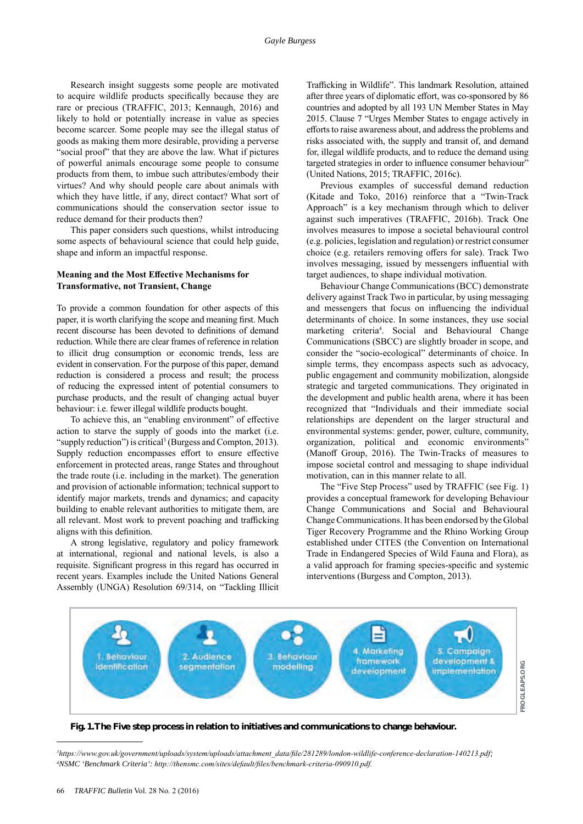Research insight suggests some people are motivated to acquire wildlife products specifically because they are rare or precious (TRAFFIC, 2013; Kennaugh, 2016) and likely to hold or potentially increase in value as species become scarcer. Some people may see the illegal status of goods as making them more desirable, providing a perverse "social proof" that they are above the law. What if pictures of powerful animals encourage some people to consume products from them, to imbue such attributes/embody their virtues? And why should people care about animals with which they have little, if any, direct contact? What sort of communications should the conservation sector issue to reduce demand for their products then?

 This paper considers such questions, whilst introducing some aspects of behavioural science that could help guide, shape and inform an impactful response.

#### **Meaning and the Most Effective Mechanisms for Transformative, not Transient, Change**

To provide a common foundation for other aspects of this paper, it is worth clarifying the scope and meaning first. Much recent discourse has been devoted to definitions of demand reduction. While there are clear frames of reference in relation to illicit drug consumption or economic trends, less are evident in conservation. For the purpose of this paper, demand reduction is considered a process and result; the process of reducing the expressed intent of potential consumers to purchase products, and the result of changing actual buyer behaviour: i.e. fewer illegal wildlife products bought.

To achieve this, an "enabling environment" of effective action to starve the supply of goods into the market (i.e. "supply reduction") is critical<sup>3</sup> (Burgess and Compton, 2013). Supply reduction encompasses effort to ensure effective enforcement in protected areas, range States and throughout the trade route (i.e. including in the market). The generation and provision of actionable information; technical support to identify major markets, trends and dynamics; and capacity building to enable relevant authorities to mitigate them, are all relevant. Most work to prevent poaching and trafficking aligns with this definition.

 A strong legislative, regulatory and policy framework at international, regional and national levels, is also a requisite. Significant progress in this regard has occurred in recent years. Examples include the United Nations General Assembly (UNGA) Resolution 69/314, on "Tackling Illicit

Trafficking in Wildlife". This landmark Resolution, attained after three vears of diplomatic effort, was co-sponsored by 86 countries and adopted by all 193 UN Member States in May 2015. Clause 7 "Urges Member States to engage actively in efforts to raise awareness about, and address the problems and risks associated with, the supply and transit of, and demand for, illegal wildlife products, and to reduce the demand using targeted strategies in order to influence consumer behaviour" (United Nations, 2015; TRAFFIC, 2016c).

 Previous examples of successful demand reduction (Kitade and Toko, 2016) reinforce that a "Twin-Track Approach" is a key mechanism through which to deliver against such imperatives (TRAFFIC, 2016b). Track One involves measures to impose a societal behavioural control (e.g. policies, legislation and regulation) or restrict consumer choice (e.g. retailers removing offers for sale). Track Two involves messaging, issued by messengers influential with target audiences, to shape individual motivation.

Behaviour Change Communications (BCC) demonstrate delivery against Track Two in particular, by using messaging and messengers that focus on influencing the individual determinants of choice. In some instances, they use social marketing criteria4 . Social and Behavioural Change Communications (SBCC) are slightly broader in scope, and consider the "socio-ecological" determinants of choice. In simple terms, they encompass aspects such as advocacy, public engagement and community mobilization, alongside strategic and targeted communications. They originated in the development and public health arena, where it has been recognized that "Individuals and their immediate social relationships are dependent on the larger structural and environmental systems: gender, power, culture, community, organization, political and economic environments" (Manoff Group, 2016). The Twin-Tracks of measures to impose societal control and messaging to shape individual motivation, can in this manner relate to all.

The "Five Step Process" used by TRAFFIC (see Fig. 1) provides a conceptual framework for developing Behaviour Change Communications and Social and Behavioural Change Communications. It has been endorsed by the Global Tiger Recovery Programme and the Rhino Working Group established under CITES (the Convention on International Trade in Endangered Species of Wild Fauna and Flora), as a valid approach for framing species-specific and systemic interventions (Burgess and Compton, 2013).



**Fig. 1. The Five step process in relation to initiatives and communications to change behaviour.**

<sup>3</sup>https://www.gov.uk/government/uploads/system/uploads/attachment\_data/file/281289/london-wildlife-conference-declaration-140213.pdf; <sup>4</sup>NSMC 'Benchmark Criteria': http://thensmc.com/sites/default/files/benchmark-criteria-090910.pdf.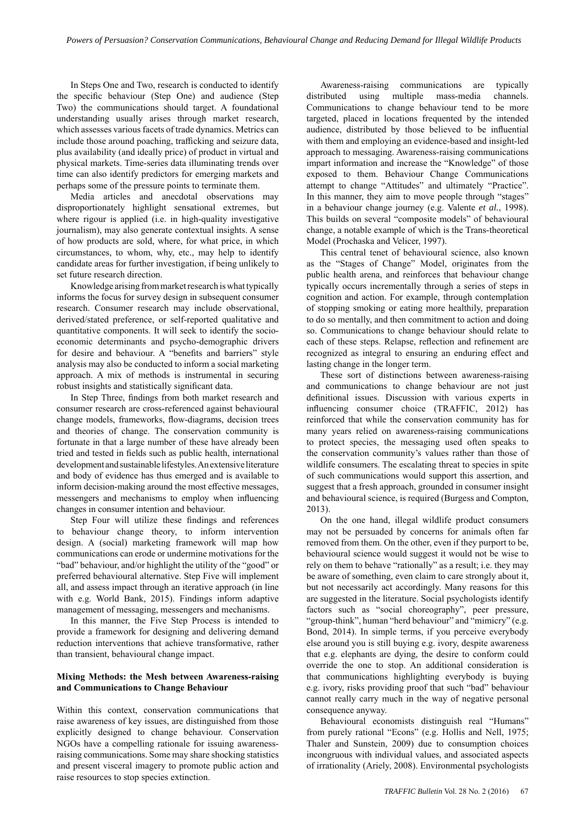In Steps One and Two, research is conducted to identify the specific behaviour (Step One) and audience (Step Two) the communications should target. A foundational understanding usually arises through market research, which assesses various facets of trade dynamics. Metrics can include those around poaching, trafficking and seizure data, plus availability (and ideally price) of product in virtual and physical markets. Time-series data illuminating trends over time can also identify predictors for emerging markets and perhaps some of the pressure points to terminate them.

 Media articles and anecdotal observations may disproportionately highlight sensational extremes, but where rigour is applied (i.e. in high-quality investigative journalism), may also generate contextual insights. A sense of how products are sold, where, for what price, in which circumstances, to whom, why, etc., may help to identify candidate areas for further investigation, if being unlikely to set future research direction.

 Knowledge arising from market research is what typically informs the focus for survey design in subsequent consumer research. Consumer research may include observational, derived/stated preference, or self-reported qualitative and quantitative components. It will seek to identify the socioeconomic determinants and psycho-demographic drivers for desire and behaviour. A "benefits and barriers" style analysis may also be conducted to inform a social marketing approach. A mix of methods is instrumental in securing robust insights and statistically significant data.

In Step Three, findings from both market research and consumer research are cross-referenced against behavioural change models, frameworks, flow-diagrams, decision trees and theories of change. The conservation community is fortunate in that a large number of these have already been tried and tested in fields such as public health, international development and sustainable lifestyles. An extensive literature and body of evidence has thus emerged and is available to inform decision-making around the most effective messages, messengers and mechanisms to employ when influencing changes in consumer intention and behaviour.

Step Four will utilize these findings and references to behaviour change theory, to inform intervention design. A (social) marketing framework will map how communications can erode or undermine motivations for the "bad" behaviour, and/or highlight the utility of the "good" or preferred behavioural alternative. Step Five will implement all, and assess impact through an iterative approach (in line with e.g. World Bank, 2015). Findings inform adaptive management of messaging, messengers and mechanisms.

 In this manner, the Five Step Process is intended to provide a framework for designing and delivering demand reduction interventions that achieve transformative, rather than transient, behavioural change impact.

#### **Mixing Methods: the Mesh between Awareness-raising and Communications to Change Behaviour**

Within this context, conservation communications that raise awareness of key issues, are distinguished from those explicitly designed to change behaviour. Conservation NGOs have a compelling rationale for issuing awarenessraising communications. Some may share shocking statistics and present visceral imagery to promote public action and raise resources to stop species extinction.

 Awareness-raising communications are typically distributed using multiple mass-media channels. Communications to change behaviour tend to be more targeted, placed in locations frequented by the intended audience, distributed by those believed to be influential with them and employing an evidence-based and insight-led approach to messaging. Awareness-raising communications impart information and increase the "Knowledge" of those exposed to them. Behaviour Change Communications attempt to change "Attitudes" and ultimately "Practice". In this manner, they aim to move people through "stages" in a behaviour change journey (e.g. Valente *et al.* This builds on several "composite models" of behavioural change, a notable example of which is the Trans-theoretical Model (Prochaska and Velicer, 1997).

 This central tenet of behavioural science, also known as the "Stages of Change" Model, originates from the public health arena, and reinforces that behaviour change typically occurs incrementally through a series of steps in cognition and action. For example, through contemplation of stopping smoking or eating more healthily, preparation to do so mentally, and then commitment to action and doing so. Communications to change behaviour should relate to each of these steps. Relapse, reflection and refinement are recognized as integral to ensuring an enduring effect and lasting change in the longer term.

 These sort of distinctions between awareness-raising and communications to change behaviour are not just definitional issues. Discussion with various experts in influencing consumer choice (TRAFFIC, 2012) has reinforced that while the conservation community has for many years relied on awareness-raising communications to protect species, the messaging used often speaks to the conservation community's values rather than those of wildlife consumers. The escalating threat to species in spite of such communications would support this assertion, and suggest that a fresh approach, grounded in consumer insight and behavioural science, is required (Burgess and Compton,  $2013$ ).

 On the one hand, illegal wildlife product consumers may not be persuaded by concerns for animals often far removed from them. On the other, even if they purport to be, behavioural science would suggest it would not be wise to rely on them to behave "rationally" as a result; i.e. they may be aware of something, even claim to care strongly about it, but not necessarily act accordingly. Many reasons for this are suggested in the literature. Social psychologists identify factors such as "social choreography", peer pressure, "group-think", human "herd behaviour" and "mimicry" (e.g. Bond, 2014). In simple terms, if you perceive everybody else around you is still buying e.g. ivory, despite awareness that e.g. elephants are dying, the desire to conform could override the one to stop. An additional consideration is that communications highlighting everybody is buying e.g. ivory, risks providing proof that such "bad" behaviour cannot really carry much in the way of negative personal consequence anyway.

 Behavioural economists distinguish real "Humans" from purely rational "Econs" (e.g. Hollis and Nell, 1975; Thaler and Sunstein, 2009) due to consumption choices incongruous with individual values, and associated aspects of irrationality (Ariely, 2008). Environmental psychologists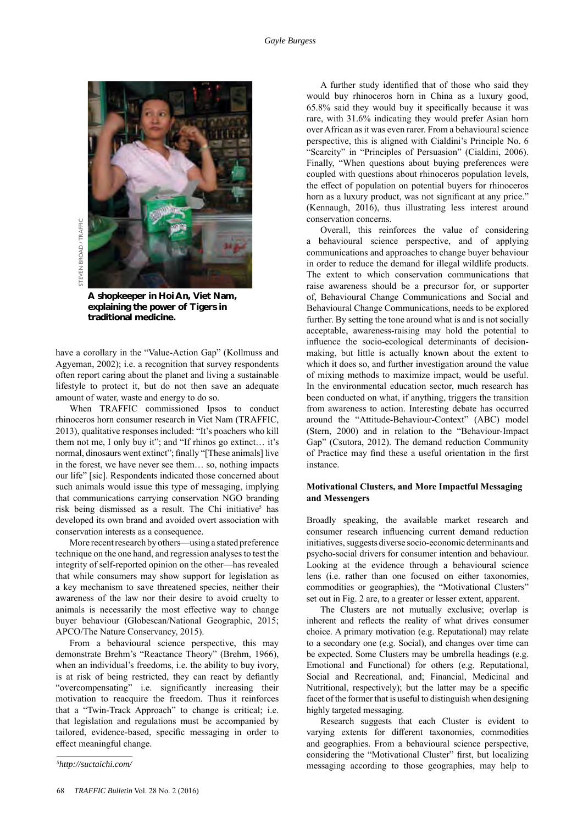

**A shopkeeper in Hoi An, Viet Nam, explaining the power of Tigers in traditional medicine.** 

have a corollary in the "Value-Action Gap" (Kollmuss and Agyeman,  $2002$ ); i.e. a recognition that survey respondents often report caring about the planet and living a sustainable lifestyle to protect it, but do not then save an adequate amount of water, waste and energy to do so.

 When TRAFFIC commissioned Ipsos to conduct rhinoceros horn consumer research in Viet Nam (TRAFFIC, 2013), qualitative responses included: "It's poachers who kill them not me, I only buy it"; and "If rhinos go extinct… it's normal, dinosaurs went extinct"; finally "[These animals] live in the forest, we have never see them… so, nothing impacts our life" [sic]. Respondents indicated those concerned about such animals would issue this type of messaging, implying that communications carrying conservation NGO branding risk being dismissed as a result. The Chi initiative<sup>5</sup> has developed its own brand and avoided overt association with conservation interests as a consequence.

 More recent research by others—using a stated preference technique on the one hand, and regression analyses to test the integrity of self-reported opinion on the other—has revealed that while consumers may show support for legislation as a key mechanism to save threatened species, neither their awareness of the law nor their desire to avoid cruelty to animals is necessarily the most effective way to change buyer behaviour (Globescan/National Geographic, 2015; APCO/The Nature Conservancy, 2015).

 From a behavioural science perspective, this may demonstrate Brehm's "Reactance Theory" (Brehm, 1966), when an individual's freedoms, i.e. the ability to buy ivory, is at risk of being restricted, they can react by defiantly "overcompensating" i.e. significantly increasing their motivation to reacquire the freedom. Thus it reinforces that a "Twin-Track Approach" to change is critical; i.e. that legislation and regulations must be accompanied by tailored, evidence-based, specific messaging in order to effect meaningful change.

A further study identified that of those who said they would buy rhinoceros horn in China as a luxury good,  $65.8\%$  said they would buy it specifically because it was rare, with 31.6% indicating they would prefer Asian horn over African as it was even rarer. From a behavioural science perspective, this is aligned with Cialdini's Principle No. 6 "Scarcity" in "Principles of Persuasion" (Cialdini, 2006). Finally, "When questions about buying preferences were coupled with questions about rhinoceros population levels, the effect of population on potential buyers for rhinoceros horn as a luxury product, was not significant at any price." (Kennaugh, 2016), thus illustrating less interest around conservation concerns.

 Overall, this reinforces the value of considering behavioural science perspective, and of applying communications and approaches to change buyer behaviour in order to reduce the demand for illegal wildlife products. The extent to which conservation communications that raise awareness should be a precursor for, or supporter of, Behavioural Change Communications and Social and Behavioural Change Communications, needs to be explored further. By setting the tone around what is and is not socially acceptable, awareness-raising may hold the potential to influence the socio-ecological determinants of decisionmaking, but little is actually known about the extent to which it does so, and further investigation around the value of mixing methods to maximize impact, would be useful. In the environmental education sector, much research has been conducted on what, if anything, triggers the transition from awareness to action. Interesting debate has occurred around the "Attitude-Behaviour-Context" (ABC) model (Stern, 2000) and in relation to the "Behaviour-Impact Gap" (Csutora, 2012). The demand reduction Community of Practice may find these a useful orientation in the first instance.

### **Motivational Clusters, and More Impactful Messaging and Messengers**

Broadly speaking, the available market research and consumer research influencing current demand reduction initiatives, suggests diverse socio-economic determinants and psycho-social drivers for consumer intention and behaviour. Looking at the evidence through a behavioural science lens (i.e. rather than one focused on either taxonomies, commodities or geographies), the "Motivational Clusters" set out in Fig. 2 are, to a greater or lesser extent, apparent.

 The Clusters are not mutually exclusive; overlap is inherent and reflects the reality of what drives consumer choice. A primary motivation (e.g. Reputational) may relate to a secondary one (e.g. Social), and changes over time can be expected. Some Clusters may be umbrella headings (e.g. Emotional and Functional) for others (e.g. Reputational, Social and Recreational, and; Financial, Medicinal and Nutritional, respectively); but the latter may be a specific facet of the former that is useful to distinguish when designing highly targeted messaging.

 Research suggests that each Cluster is evident to varying extents for different taxonomies, commodities and geographies. From a behavioural science perspective, considering the "Motivational Cluster" first, but localizing messaging according to those geographies, may help to *<sup>5</sup>*

*http://suctaichi.com/*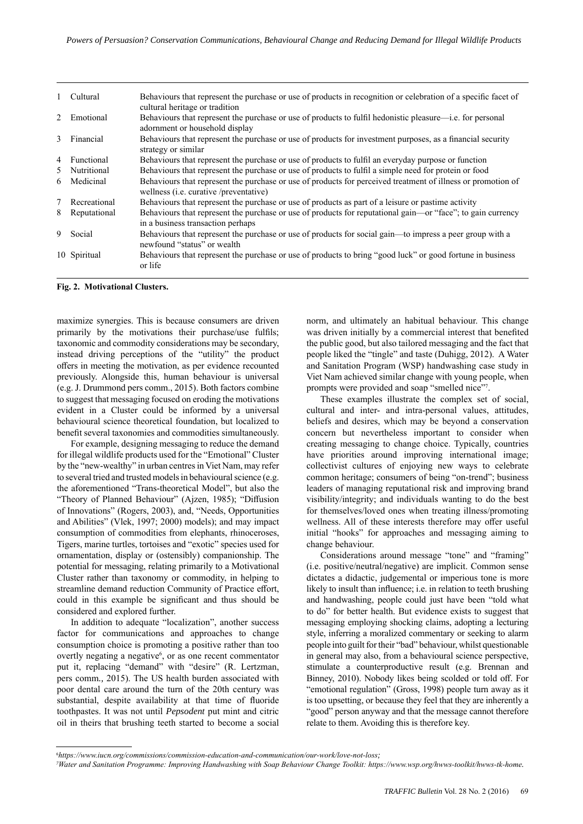|    | Cultural     | Behaviours that represent the purchase or use of products in recognition or celebration of a specific facet of<br>cultural heritage or tradition       |
|----|--------------|--------------------------------------------------------------------------------------------------------------------------------------------------------|
| 2  | Emotional    | Behaviours that represent the purchase or use of products to fulfil hedonistic pleasure—i.e. for personal<br>adornment or household display            |
| 3  | Financial    | Behaviours that represent the purchase or use of products for investment purposes, as a financial security<br>strategy or similar                      |
| 4  | Functional   | Behaviours that represent the purchase or use of products to fulfil an everyday purpose or function                                                    |
| 5. | Nutritional  | Behaviours that represent the purchase or use of products to fulfil a simple need for protein or food                                                  |
| 6  | Medicinal    | Behaviours that represent the purchase or use of products for perceived treatment of illness or promotion of<br>wellness (i.e. curative /preventative) |
|    | Recreational | Behaviours that represent the purchase or use of products as part of a leisure or pastime activity                                                     |
| 8  | Reputational | Behaviours that represent the purchase or use of products for reputational gain—or "face"; to gain currency<br>in a business transaction perhaps       |
| 9  | Social       | Behaviours that represent the purchase or use of products for social gain—to impress a peer group with a<br>newfound "status" or wealth                |
|    | 10 Spiritual | Behaviours that represent the purchase or use of products to bring "good luck" or good fortune in business<br>or life                                  |

**Fig. 2. Motivational Clusters.**

maximize synergies. This is because consumers are driven primarily by the motivations their purchase/use fulfils; taxonomic and commodity considerations may be secondary, instead driving perceptions of the "utility" the product offers in meeting the motivation, as per evidence recounted previously. Alongside this, human behaviour is universal (e.g. J. Drummond pers comm., 2015). Both factors combine to suggest that messaging focused on eroding the motivations evident in a Cluster could be informed by a universal behavioural science theoretical foundation, but localized to benefit several taxonomies and commodities simultaneously.

 For example, designing messaging to reduce the demand for illegal wildlife products used for the "Emotional" Cluster by the "new-wealthy" in urban centres in Viet Nam, may refer to several tried and trusted models in behavioural science (e.g. the aforementioned "Trans-theoretical Model", but also the "Theory of Planned Behaviour" (Ajzen, 1985); "Diffusion of Innovations" (Rogers, 2003), and, "Needs, Opportunities and Abilities" (Vlek, 1997; 2000) models); and may impact consumption of commodities from elephants, rhinoceroses, Tigers, marine turtles, tortoises and "exotic" species used for ornamentation, display or (ostensibly) companionship. The potential for messaging, relating primarily to a Motivational Cluster rather than taxonomy or commodity, in helping to streamline demand reduction Community of Practice effort, could in this example be significant and thus should be considered and explored further.

 In addition to adequate "localization", another success factor for communications and approaches to change consumption choice is promoting a positive rather than too overtly negating a negative<sup>6</sup>, or as one recent commentator put it, replacing "demand" with "desire" (R. Lertzman, pers comm., 2015). The US health burden associated with poor dental care around the turn of the 20th century was substantial, despite availability at that time of fluoride toothpastes. It was not until *Pepsodent* put mint and citric oil in theirs that brushing teeth started to become a social

norm, and ultimately an habitual behaviour. This change was driven initially by a commercial interest that benefited the public good, but also tailored messaging and the fact that people liked the "tingle" and taste (Duhigg, 2012). A Water and Sanitation Program (WSP) handwashing case study in Viet Nam achieved similar change with young people, when prompts were provided and soap "smelled nice"?.

 These examples illustrate the complex set of social, cultural and inter- and intra-personal values, attitudes, beliefs and desires, which may be beyond a conservation concern but nevertheless important to consider when creating messaging to change choice. Typically, countries have priorities around improving international image; collectivist cultures of enjoying new ways to celebrate common heritage; consumers of being "on-trend"; business leaders of managing reputational risk and improving brand visibility/integrity; and individuals wanting to do the best for themselves/loved ones when treating illness/promoting wellness. All of these interests therefore may offer useful initial "hooks" for approaches and messaging aiming to change behaviour.

 Considerations around message "tone" and "framing" (i.e. positive/neutral/negative) are implicit. Common sense dictates a didactic, judgemental or imperious tone is more likely to insult than influence; i.e. in relation to teeth brushing and handwashing, people could just have been "told what to do" for better health. But evidence exists to suggest that messaging employing shocking claims, adopting a lecturing style, inferring a moralized commentary or seeking to alarm people into guilt for their "bad" behaviour, whilst questionable in general may also, from a behavioural science perspective, stimulate a counterproductive result (e.g. Brennan and Binney, 2010). Nobody likes being scolded or told off. For "emotional regulation" (Gross, 1998) people turn away as it is too upsetting, or because they feel that they are inherently a "good" person anyway and that the message cannot therefore relate to them. Avoiding this is therefore key.

https://www.iucn.org/commissions/commission-education-and-communication/our-work/love-not-loss;<br><sup>7</sup>Water and Sanitation Programme: Improving Handwashing with Soan Rehaviour Change Toolkit: http:

<sup>&</sup>lt;sup>7</sup>Water and Sanitation Programme: Improving Handwashing with Soap Behaviour Change Toolkit: https://www.wsp.org/hwws-toolkit/hwws-tk-home.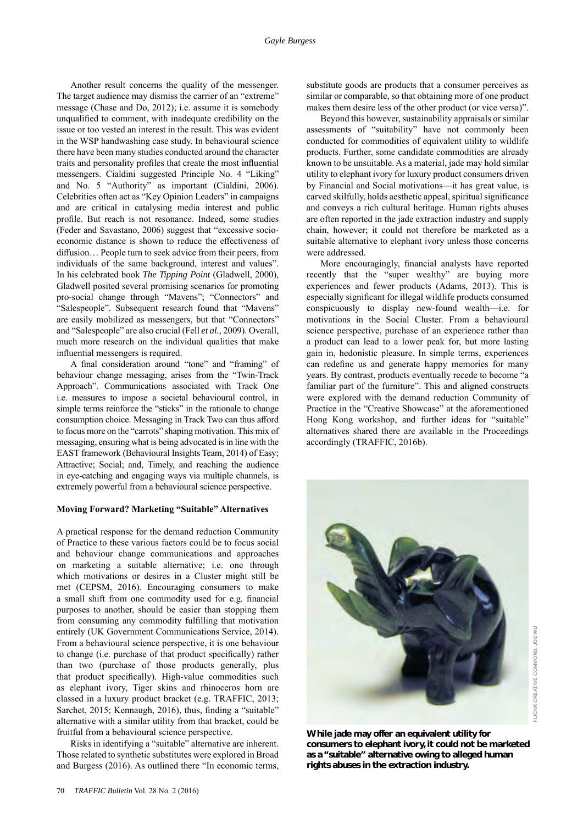Another result concerns the quality of the messenger. The target audience may dismiss the carrier of an "extreme" message (Chase and Do, 2012); i.e. assume it is somebody unqualified to comment, with inadequate credibility on the issue or too vested an interest in the result. This was evident in the WSP handwashing case study. In behavioural science there have been many studies conducted around the character traits and personality profiles that create the most influential messengers. Cialdini suggested Principle No. 4 "Liking" and No. 5 "Authority" as important (Cialdini, 2006). Celebrities often act as "Key Opinion Leaders" in campaigns and are critical in catalysing media interest and public profile. But reach is not resonance. Indeed, some studies (Feder and Savastano, 2006) suggest that "excessive socioeconomic distance is shown to reduce the effectiveness of diffusion... People turn to seek advice from their peers, from individuals of the same background, interest and values". In his celebrated book *The Tipping Point* (Gladwell, 2000), Gladwell posited several promising scenarios for promoting pro-social change through "Mavens"; "Connectors" and "Salespeople". Subsequent research found that "Mavens" are easily mobilized as messengers, but that "Connectors" and "Salespeople" are also crucial (Fell *et al.*, 2009). Overall, much more research on the individual qualities that make influential messengers is required.

A final consideration around "tone" and "framing" of behaviour change messaging, arises from the "Twin-Track Approach". Communications associated with Track One i.e. measures to impose a societal behavioural control, in simple terms reinforce the "sticks" in the rationale to change consumption choice. Messaging in Track Two can thus afford to focus more on the "carrots" shaping motivation. This mix of messaging, ensuring what is being advocated is in line with the EAST framework (Behavioural Insights Team, 2014) of Easy; Attractive; Social; and, Timely, and reaching the audience in eye-catching and engaging ways via multiple channels, is extremely powerful from a behavioural science perspective.

#### **Moving Forward? Marketing "Suitable" Alternatives**

A practical response for the demand reduction Community of Practice to these various factors could be to focus social and behaviour change communications and approaches on marketing a suitable alternative; i.e. one through which motivations or desires in a Cluster might still be met (CEPSM, 2016). Encouraging consumers to make a small shift from one commodity used for e.g. financial purposes to another, should be easier than stopping them from consuming any commodity fulfilling that motivation entirely (UK Government Communications Service, 2014). From a behavioural science perspective, it is one behaviour to change (i.e. purchase of that product specifically) rather than two (purchase of those products generally, plus that product specifically). High-value commodities such as elephant ivory, Tiger skins and rhinoceros horn are classed in a luxury product bracket (e.g. TRAFFIC, 2013; Sarchet, 2015; Kennaugh, 2016), thus, finding a "suitable" alternative with a similar utility from that bracket, could be fruitful from a behavioural science perspective.

 Risks in identifying a "suitable" alternative are inherent. Those related to synthetic substitutes were explored in Broad and Burgess (2016). As outlined there "In economic terms,

substitute goods are products that a consumer perceives as similar or comparable, so that obtaining more of one product makes them desire less of the other product (or vice versa)".

 Beyond this however, sustainability appraisals or similar assessments of "suitability" have not commonly been conducted for commodities of equivalent utility to wildlife products. Further, some candidate commodities are already known to be unsuitable. As a material, jade may hold similar utility to elephant ivory for luxury product consumers driven by Financial and Social motivations—it has great value, is carved skilfully, holds aesthetic appeal, spiritual significance and conveys a rich cultural heritage. Human rights abuses are often reported in the jade extraction industry and supply chain, however; it could not therefore be marketed as a suitable alternative to elephant ivory unless those concerns were addressed.

More encouragingly, financial analysts have reported recently that the "super wealthy" are buying more experiences and fewer products (Adams, 2013). This is especially significant for illegal wildlife products consumed conspicuously to display new-found wealth—i.e. for motivations in the Social Cluster. From a behavioural science perspective, purchase of an experience rather than a product can lead to a lower peak for, but more lasting gain in, hedonistic pleasure. In simple terms, experiences can redefine us and generate happy memories for many years. By contrast, products eventually recede to become "a familiar part of the furniture". This and aligned constructs were explored with the demand reduction Community of Practice in the "Creative Showcase" at the aforementioned Hong Kong workshop, and further ideas for "suitable" alternatives shared there are available in the Proceedings accordingly (TRAFFIC, 2016b).



**While jade may offer an equivalent utility for consumers to elephant ivory, it could not be marketed as a "suitable" alternative owing to alleged human rights abuses in the extraction industry.**

FLICKR CREATIVE COMMONS, JOE WU

FLICKR CREATIVE COMMONS, JOE WU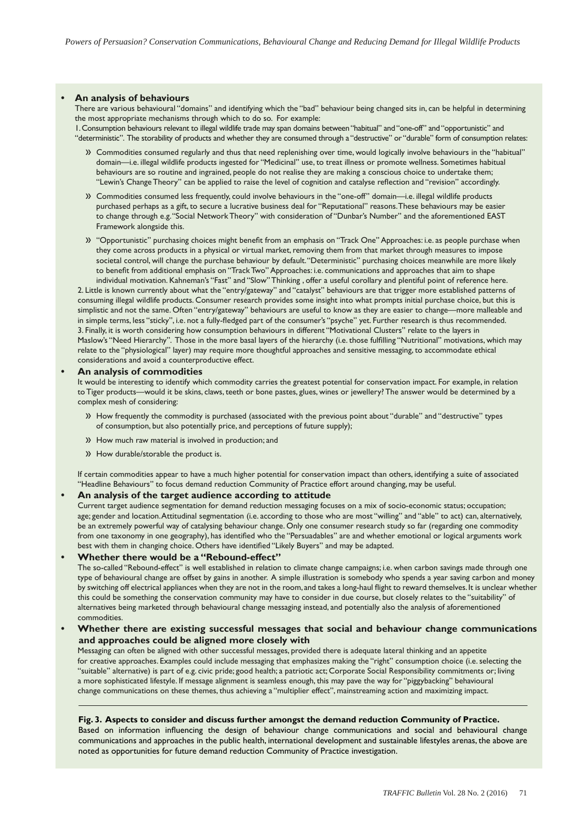#### **• An analysis of behaviours**

There are various behavioural "domains" and identifying which the "bad" behaviour being changed sits in, can be helpful in determining the most appropriate mechanisms through which to do so. For example:

1. Consumption behaviours relevant to illegal wildlife trade may span domains between "habitual" and "one-off" and "opportunistic" and "deterministic". The storability of products and whether they are consumed through a "destructive" or "durable" form of consumption relates:

- » Commodities consumed regularly and thus that need replenishing over time, would logically involve behaviours in the "habitual" domain—i.e. illegal wildlife products ingested for "Medicinal" use, to treat illness or promote wellness. Sometimes habitual behaviours are so routine and ingrained, people do not realise they are making a conscious choice to undertake them; "Lewin's Change Theory" can be applied to raise the level of cognition and catalyse reflection and "revision" accordingly.
- » Commodities consumed less frequently, could involve behaviours in the "one-off" domain—i.e. illegal wildlife products purchased perhaps as a gift, to secure a lucrative business deal for "Reputational" reasons. These behaviours may be easier to change through e.g. "Social Network Theory" with consideration of "Dunbar's Number" and the aforementioned EAST Framework alongside this.
- » "Opportunistic" purchasing choices might benefit from an emphasis on "Track One" Approaches: i.e. as people purchase when they come across products in a physical or virtual market, removing them from that market through measures to impose societal control, will change the purchase behaviour by default. "Deterministic" purchasing choices meanwhile are more likely to benefit from additional emphasis on "Track Two" Approaches: i.e. communications and approaches that aim to shape

 individual motivation. Kahneman's "Fast" and "Slow" Thinking , offer a useful corollary and plentiful point of reference here. 2. Little is known currently about what the "entry/gateway" and "catalyst" behaviours are that trigger more established patterns of consuming illegal wildlife products. Consumer research provides some insight into what prompts initial purchase choice, but this is simplistic and not the same. Often "entry/gateway" behaviours are useful to know as they are easier to change—more malleable and in simple terms, less "sticky", i.e. not a fully-fledged part of the consumer's "psyche" yet. Further research is thus recommended. 3. Finally, it is worth considering how consumption behaviours in different "Motivational Clusters" relate to the layers in Maslow's "Need Hierarchy". Those in the more basal layers of the hierarchy (i.e. those fulfilling "Nutritional" motivations, which may relate to the "physiological" layer) may require more thoughtful approaches and sensitive messaging, to accommodate ethical considerations and avoid a counterproductive effect.

#### **• An analysis of commodities**

It would be interesting to identify which commodity carries the greatest potential for conservation impact. For example, in relation to Tiger products—would it be skins, claws, teeth or bone pastes, glues, wines or jewellery? The answer would be determined by a complex mesh of considering:

- » How frequently the commodity is purchased (associated with the previous point about "durable" and "destructive" types of consumption, but also potentially price, and perceptions of future supply);
- » How much raw material is involved in production; and
- » How durable/storable the product is.

If certain commodities appear to have a much higher potential for conservation impact than others, identifying a suite of associated "Headline Behaviours" to focus demand reduction Community of Practice effort around changing, may be useful.

#### **• An analysis of the target audience according to attitude**

Current target audience segmentation for demand reduction messaging focuses on a mix of socio-economic status; occupation; age; gender and location. Attitudinal segmentation (i.e. according to those who are most "willing" and "able" to act) can, alternatively, be an extremely powerful way of catalysing behaviour change. Only one consumer research study so far (regarding one commodity from one taxonomy in one geography), has identified who the "Persuadables" are and whether emotional or logical arguments work best with them in changing choice. Others have identified "Likely Buyers" and may be adapted.

**• Whether there would be a "Rebound-effect"**

The so-called "Rebound-effect" is well established in relation to climate change campaigns; i.e. when carbon savings made through one type of behavioural change are offset by gains in another. A simple illustration is somebody who spends a year saving carbon and money by switching off electrical appliances when they are not in the room, and takes a long-haul flight to reward themselves. It is unclear whether this could be something the conservation community may have to consider in due course, but closely relates to the "suitability" of alternatives being marketed through behavioural change messaging instead, and potentially also the analysis of aforementioned commodities.

**• Whether there are existing successful messages that social and behaviour change communications and approaches could be aligned more closely with**

Messaging can often be aligned with other successful messages, provided there is adequate lateral thinking and an appetite for creative approaches. Examples could include messaging that emphasizes making the "right" consumption choice (i.e. selecting the "suitable" alternative) is part of e.g. civic pride; good health; a patriotic act; Corporate Social Responsibility commitments or; living a more sophisticated lifestyle. If message alignment is seamless enough, this may pave the way for "piggybacking" behavioural change communications on these themes, thus achieving a "multiplier effect", mainstreaming action and maximizing impact.

#### **Fig. 3. Aspects to consider and discuss further amongst the demand reduction Community of Practice.**

Based on information influencing the design of behaviour change communications and social and behavioural change communications and approaches in the public health, international development and sustainable lifestyles arenas, the above are noted as opportunities for future demand reduction Community of Practice investigation.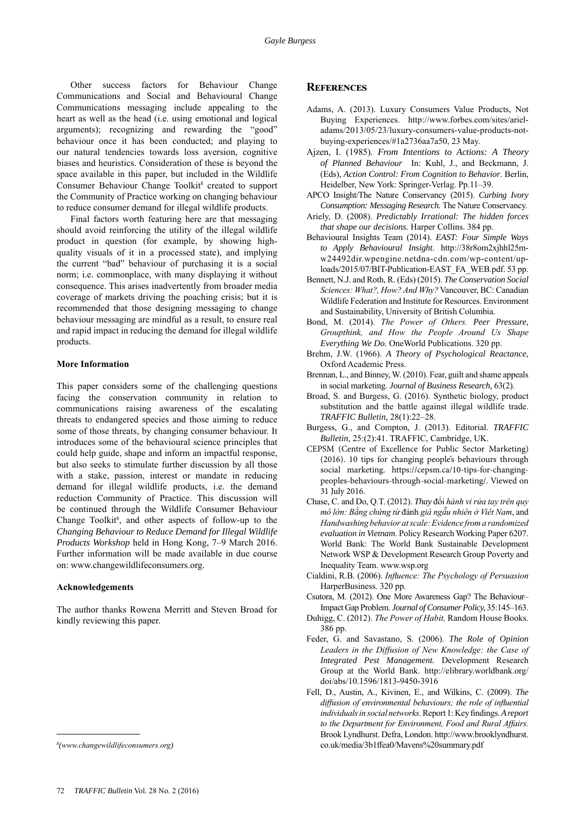Other success factors for Behaviour Change Communications and Social and Behavioural Change Communications messaging include appealing to the heart as well as the head (i.e. using emotional and logical arguments); recognizing and rewarding the "good" behaviour once it has been conducted; and playing to our natural tendencies towards loss aversion, cognitive biases and heuristics. Consideration of these is beyond the space available in this paper, but included in the Wildlife Consumer Behaviour Change Toolkit<sup>8</sup> created to support the Community of Practice working on changing behaviour to reduce consumer demand for illegal wildlife products.

 Final factors worth featuring here are that messaging should avoid reinforcing the utility of the illegal wildlife product in question (for example, by showing highquality visuals of it in a processed state), and implying the current "bad" behaviour of purchasing it is a social norm; i.e. commonplace, with many displaying it without consequence. This arises inadvertently from broader media coverage of markets driving the poaching crisis; but it is recommended that those designing messaging to change behaviour messaging are mindful as a result, to ensure real and rapid impact in reducing the demand for illegal wildlife products.

#### **More Information**

This paper considers some of the challenging questions facing the conservation community in relation to communications raising awareness of the escalating threats to endangered species and those aiming to reduce some of those threats, by changing consumer behaviour. It introduces some of the behavioural science principles that could help guide, shape and inform an impactful response, but also seeks to stimulate further discussion by all those with a stake, passion, interest or mandate in reducing demand for illegal wildlife products, i.e. the demand reduction Community of Practice. This discussion will be continued through the Wildlife Consumer Behaviour Change Toolkit<sup>8</sup>, and other aspects of follow-up to the *Changing Behaviour to Reduce Demand for Illegal Wildlife Products Workshop* held in Hong Kong, 7–9 March 2016. Further information will be made available in due course on: www.changewildlifeconsumers.org.

#### **Acknowledgements**

The author thanks Rowena Merritt and Steven Broad for kindly reviewing this paper.

 $\delta$ (www.changewildlifeconsumers.org)

#### **REFERENCES**

- Adams, A. (2013). Luxury Consumers Value Products, Not Buying Experiences. http://www.forbes.com/sites/arieladams/2013/05/23/luxury-consumers-value-products-notbuying-experiences/#1a2736aa7a50, 23 May.
- Ajzen, I. (1985). From Intentions to Actions: A Theory *of Planned Behaviour* In: Kuhl, J., and Beckmann, J. (Eds), Action Control: From Cognition to Behavior. Berlin, Heidelber, New York: Springer-Verlag. Pp.11–39.
- APCO Insight/The Nature Conservancy (2015). Curbing Ivory *Consumption: Messaging Research.* The Nature Conservancy.
- Ariely, D. (2008). Predictably Irrational: The hidden forces *that shape our decisions.* Harper Collins. 384 pp.
- Behavioural Insights Team (2014). EAST: Four Simple Ways *to Apply Behavioural Insight*. http://38r8om2xjhhl25mw24492dir.wpengine.netdna-cdn.com/wp-content/uploads/2015/07/BIT-Publication-EAST\_FA\_WEB.pdf. 53 pp.
- Bennett, N.J. and Roth, R. (Eds) (2015). The Conservation Social *Sciences: What?, How? And Why?* Vancouver, BC: Canadian Wildlife Federation and Institute for Resources. Environment and Sustainability, University of British Columbia.
- Bond, M. (2014). The Power of Others. Peer Pressure, Groupthink, and How the People Around Us Shape *Everything We Do.* OneWorld Publications. 320 pp.
- Brehm, J.W. (1966). A Theory of Psychological Reactance, Oxford Academic Press.
- Brennan, L., and Binney, W. (2010). Fear, guilt and shame appeals in social marketing. *Journal of Business Research,*
- Broad, S. and Burgess, G. (2016). Synthetic biology, product substitution and the battle against illegal wildlife trade. TRAFFIC Bulletin, 28(1):22-28.
- Burgess, G., and Compton, J. (2013). Editorial. TRAFFIC Bulletin, 25:(2):41. TRAFFIC, Cambridge, UK.
- CEPSM (Centre of Excellence for Public Sector Marketing) (2016). 10 tips for changing people's behaviours through social marketing. https://cepsm.ca/10-tips-for-changingpeoples-behaviours-through-social-marketing/. Viewed on 31 July 2016.
- Chase, C. and Do, Q.T. (2012). *Thay* đổi hành vi rửa tay trên quy *mô lớn: Bằng chứng từ đánh giá ngẫu nhiên ở Việt Nam, and* Handwashing behavior at scale: Evidence from a randomized *evaluation in Vietnam*. Policy Research Working Paper 6207. World Bank: The World Bank Sustainable Development Network WSP & Development Research Group Poverty and Inequality Team. www.wsp.org
- Cialdini, R.B. (2006). *Influence: The Psychology of Persuasion* HarperBusiness. 320 pp.
- Csutora, M. (2012). One More Awareness Gap? The Behaviour-Impact Gap Problem. *Journal of Consumer Policy,* 35:145–163.
- Duhigg, C. (2012). *The Power of Habit*, Random House Books. 386 pp.
- Feder, G. and Savastano, S. (2006). The Role of Opinion Leaders in the Diffusion of New Knowledge: the Case of *Integrated Pest Management.* Development Research Group at the World Bank. http://elibrary.worldbank.org/ doi/abs/10.1596/1813-9450-3916
- Fell, D., Austin, A., Kivinen, E., and Wilkins, C. (2009). The diffusion of environmental behaviours; the role of influential *individuals in social networks.* Report 1: Key findings. A report to the Department for Environment, Food and Rural Affairs. Brook Lyndhurst. Defra, London. http://www.brooklyndhurst. co.uk/media/3b1ffea0/Mavens%20summarv.pdf